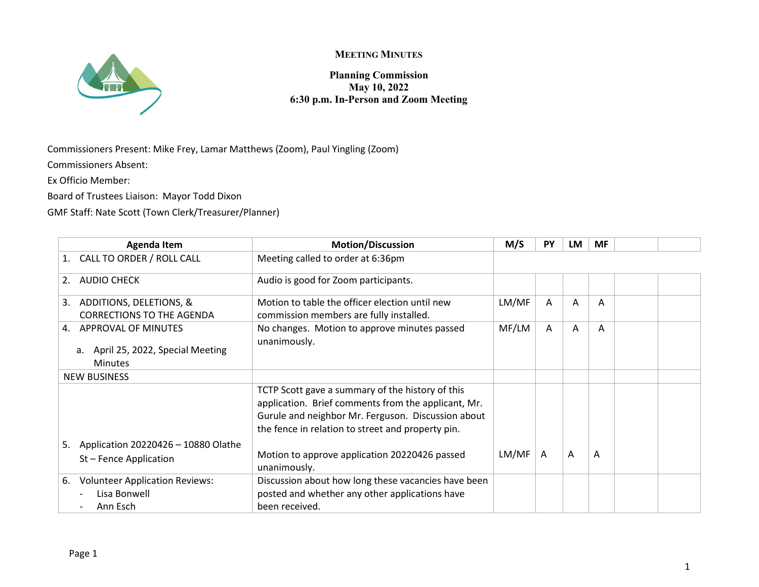

## **MEETING MINUTES**

**Planning Commission May 10, 2022 6:30 p.m. In-Person and Zoom Meeting**

Commissioners Present: Mike Frey, Lamar Matthews (Zoom), Paul Yingling (Zoom)

Commissioners Absent:

Ex Officio Member:

Board of Trustees Liaison: Mayor Todd Dixon

GMF Staff: Nate Scott (Town Clerk/Treasurer/Planner)

| <b>Agenda Item</b>                                                                | <b>Motion/Discussion</b>                                                                                                                                                                                           | M/S   | PY | LM | <b>MF</b> |  |
|-----------------------------------------------------------------------------------|--------------------------------------------------------------------------------------------------------------------------------------------------------------------------------------------------------------------|-------|----|----|-----------|--|
| CALL TO ORDER / ROLL CALL                                                         | Meeting called to order at 6:36pm                                                                                                                                                                                  |       |    |    |           |  |
| <b>AUDIO CHECK</b><br>2.                                                          | Audio is good for Zoom participants.                                                                                                                                                                               |       |    |    |           |  |
| ADDITIONS, DELETIONS, &<br>3.<br><b>CORRECTIONS TO THE AGENDA</b>                 | Motion to table the officer election until new<br>commission members are fully installed.                                                                                                                          | LM/MF | A  | A  | A         |  |
| 4. APPROVAL OF MINUTES<br>April 25, 2022, Special Meeting<br>a.<br><b>Minutes</b> | No changes. Motion to approve minutes passed<br>unanimously.                                                                                                                                                       | MF/LM | A  | A  | A         |  |
| <b>NEW BUSINESS</b>                                                               |                                                                                                                                                                                                                    |       |    |    |           |  |
|                                                                                   | TCTP Scott gave a summary of the history of this<br>application. Brief comments from the applicant, Mr.<br>Gurule and neighbor Mr. Ferguson. Discussion about<br>the fence in relation to street and property pin. |       |    |    |           |  |
| Application 20220426 - 10880 Olathe<br>5.<br>St-Fence Application                 | Motion to approve application 20220426 passed<br>unanimously.                                                                                                                                                      | LM/MF | A  | A  | A         |  |
| <b>Volunteer Application Reviews:</b><br>6.<br>Lisa Bonwell<br>Ann Esch           | Discussion about how long these vacancies have been<br>posted and whether any other applications have<br>been received.                                                                                            |       |    |    |           |  |